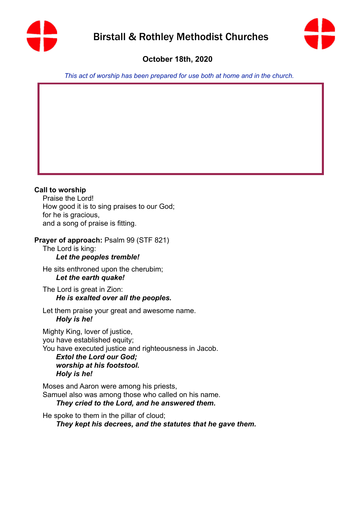



# **October 18th, 2020**

*This act of worship has been prepared for use both at home and in the church.*

# **Call to worship**

Praise the Lord! How good it is to sing praises to our God; for he is gracious, and a song of praise is fitting.

# **Prayer of approach:** Psalm 99 (STF 821)

The Lord is king:

### *Let the peoples tremble!*

He sits enthroned upon the cherubim; *Let the earth quake!* 

The Lord is great in Zion: *He is exalted over all the peoples.* 

Let them praise your great and awesome name. *Holy is he!* 

Mighty King, lover of justice, you have established equity; You have executed justice and righteousness in Jacob. *Extol the Lord our God;* 

*worship at his footstool. Holy is he!* 

Moses and Aaron were among his priests, Samuel also was among those who called on his name. *They cried to the Lord, and he answered them.* 

He spoke to them in the pillar of cloud;

*They kept his decrees, and the statutes that he gave them.*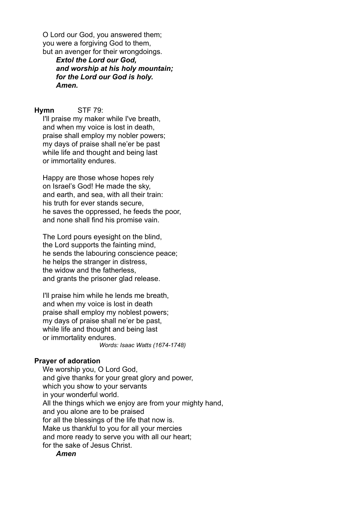O Lord our God, you answered them; you were a forgiving God to them, but an avenger for their wrongdoings.

> *Extol the Lord our God, and worship at his holy mountain; for the Lord our God is holy. Amen.*

#### **Hymn** STF 79:

I'll praise my maker while I've breath, and when my voice is lost in death, praise shall employ my nobler powers; my days of praise shall ne'er be past while life and thought and being last or immortality endures.

Happy are those whose hopes rely on Israel's God! He made the sky, and earth, and sea, with all their train: his truth for ever stands secure, he saves the oppressed, he feeds the poor, and none shall find his promise vain.

The Lord pours eyesight on the blind, the Lord supports the fainting mind, he sends the labouring conscience peace; he helps the stranger in distress, the widow and the fatherless, and grants the prisoner glad release.

I'll praise him while he lends me breath, and when my voice is lost in death praise shall employ my noblest powers; my days of praise shall ne'er be past, while life and thought and being last or immortality endures. *Words: Isaac Watts (1674-1748)* 

### **Prayer of adoration**

We worship you, O Lord God, and give thanks for your great glory and power, which you show to your servants in your wonderful world. All the things which we enjoy are from your mighty hand, and you alone are to be praised for all the blessings of the life that now is. Make us thankful to you for all your mercies and more ready to serve you with all our heart; for the sake of Jesus Christ.

#### *Amen*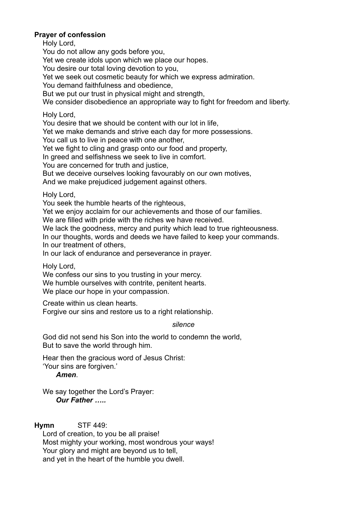# **Prayer of confession**

Holy Lord,

You do not allow any gods before you,

Yet we create idols upon which we place our hopes.

You desire our total loving devotion to you,

Yet we seek out cosmetic beauty for which we express admiration.

You demand faithfulness and obedience,

But we put our trust in physical might and strength,

We consider disobedience an appropriate way to fight for freedom and liberty.

# Holy Lord,

You desire that we should be content with our lot in life,

Yet we make demands and strive each day for more possessions.

You call us to live in peace with one another,

Yet we fight to cling and grasp onto our food and property,

In greed and selfishness we seek to live in comfort.

You are concerned for truth and justice,

But we deceive ourselves looking favourably on our own motives,

And we make prejudiced judgement against others.

Holy Lord,

You seek the humble hearts of the righteous,

Yet we enjoy acclaim for our achievements and those of our families.

We are filled with pride with the riches we have received.

We lack the goodness, mercy and purity which lead to true righteousness.

In our thoughts, words and deeds we have failed to keep your commands. In our treatment of others,

In our lack of endurance and perseverance in prayer.

Holy Lord,

We confess our sins to you trusting in your mercy. We humble ourselves with contrite, penitent hearts. We place our hope in your compassion.

Create within us clean hearts.

Forgive our sins and restore us to a right relationship.

*silence* 

God did not send his Son into the world to condemn the world, But to save the world through him.

Hear then the gracious word of Jesus Christ:

'Your sins are forgiven.'

*Amen*.

We say together the Lord's Prayer: *Our Father …..* 

**Hymn** STF 449:

Lord of creation, to you be all praise! Most mighty your working, most wondrous your ways! Your glory and might are beyond us to tell, and yet in the heart of the humble you dwell.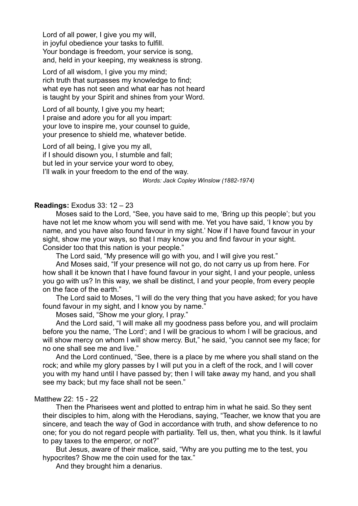Lord of all power, I give you my will, in joyful obedience your tasks to fulfill. Your bondage is freedom, your service is song, and, held in your keeping, my weakness is strong.

Lord of all wisdom. I give you my mind: rich truth that surpasses my knowledge to find; what eye has not seen and what ear has not heard is taught by your Spirit and shines from your Word.

Lord of all bounty, I give you my heart; I praise and adore you for all you impart: your love to inspire me, your counsel to guide, your presence to shield me, whatever betide.

Lord of all being, I give you my all, if I should disown you, I stumble and fall; but led in your service your word to obey, I'll walk in your freedom to the end of the way. *Words: Jack Copley Winslow (1882-1974)* 

#### **Readings:** Exodus 33: 12 – 23

Moses said to the Lord, "See, you have said to me, 'Bring up this people'; but you have not let me know whom you will send with me. Yet you have said, 'I know you by name, and you have also found favour in my sight.' Now if I have found favour in your sight, show me your ways, so that I may know you and find favour in your sight. Consider too that this nation is your people."

The Lord said, "My presence will go with you, and I will give you rest."

And Moses said, "If your presence will not go, do not carry us up from here. For how shall it be known that I have found favour in your sight, I and your people, unless you go with us? In this way, we shall be distinct, I and your people, from every people on the face of the earth."

The Lord said to Moses, "I will do the very thing that you have asked; for you have found favour in my sight, and I know you by name."

Moses said, "Show me your glory, I pray."

And the Lord said, "I will make all my goodness pass before you, and will proclaim before you the name, 'The Lord'; and I will be gracious to whom I will be gracious, and will show mercy on whom I will show mercy. But," he said, "you cannot see my face; for no one shall see me and live."

And the Lord continued, "See, there is a place by me where you shall stand on the rock; and while my glory passes by I will put you in a cleft of the rock, and I will cover you with my hand until I have passed by; then I will take away my hand, and you shall see my back; but my face shall not be seen."

#### Matthew 22: 15 - 22

Then the Pharisees went and plotted to entrap him in what he said. So they sent their disciples to him, along with the Herodians, saying, "Teacher, we know that you are sincere, and teach the way of God in accordance with truth, and show deference to no one; for you do not regard people with partiality. Tell us, then, what you think. Is it lawful to pay taxes to the emperor, or not?"

But Jesus, aware of their malice, said, "Why are you putting me to the test, you hypocrites? Show me the coin used for the tax."

And they brought him a denarius.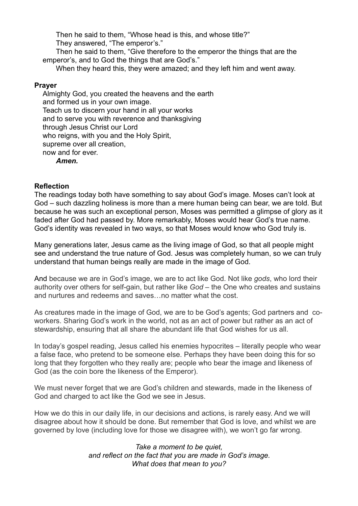Then he said to them, "Whose head is this, and whose title?" They answered, "The emperor's."

Then he said to them, "Give therefore to the emperor the things that are the emperor's, and to God the things that are God's."

When they heard this, they were amazed; and they left him and went away.

### **Prayer**

Almighty God, you created the heavens and the earth and formed us in your own image. Teach us to discern your hand in all your works and to serve you with reverence and thanksgiving through Jesus Christ our Lord who reigns, with you and the Holy Spirit, supreme over all creation, now and for ever.

*Amen.* 

### **Reflection**

The readings today both have something to say about God's image. Moses can't look at God – such dazzling holiness is more than a mere human being can bear, we are told. But because he was such an exceptional person, Moses was permitted a glimpse of glory as it faded after God had passed by. More remarkably, Moses would hear God's true name. God's identity was revealed in two ways, so that Moses would know who God truly is.

Many generations later, Jesus came as the living image of God, so that all people might see and understand the true nature of God. Jesus was completely human, so we can truly understand that human beings really are made in the image of God.

And because we are in God's image, we are to act like God. Not like *gods*, who lord their authority over others for self-gain, but rather like *God* – the One who creates and sustains and nurtures and redeems and saves…no matter what the cost.

As creatures made in the image of God, we are to be God's agents; God partners and coworkers. Sharing God's work in the world, not as an act of power but rather as an act of stewardship, ensuring that all share the abundant life that God wishes for us all.

In today's gospel reading, Jesus called his enemies hypocrites – literally people who wear a false face, who pretend to be someone else. Perhaps they have been doing this for so long that they forgotten who they really are; people who bear the image and likeness of God (as the coin bore the likeness of the Emperor).

We must never forget that we are God's children and stewards, made in the likeness of God and charged to act like the God we see in Jesus.

How we do this in our daily life, in our decisions and actions, is rarely easy. And we will disagree about how it should be done. But remember that God is love, and whilst we are governed by love (including love for those we disagree with), we won't go far wrong.

> *Take a moment to be quiet, and reflect on the fact that you are made in God's image. What does that mean to you?*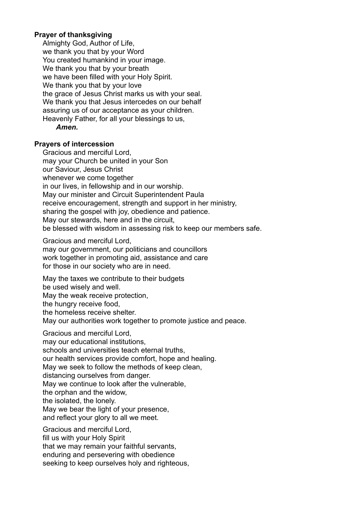# **Prayer of thanksgiving**

Almighty God, Author of Life, we thank you that by your Word You created humankind in your image. We thank you that by your breath we have been filled with your Holy Spirit. We thank you that by your love the grace of Jesus Christ marks us with your seal. We thank you that Jesus intercedes on our behalf assuring us of our acceptance as your children. Heavenly Father, for all your blessings to us, *Amen.* 

# **Prayers of intercession**

Gracious and merciful Lord, may your Church be united in your Son our Saviour, Jesus Christ whenever we come together in our lives, in fellowship and in our worship. May our minister and Circuit Superintendent Paula receive encouragement, strength and support in her ministry, sharing the gospel with joy, obedience and patience. May our stewards, here and in the circuit, be blessed with wisdom in assessing risk to keep our members safe.

Gracious and merciful Lord,

may our government, our politicians and councillors work together in promoting aid, assistance and care for those in our society who are in need.

May the taxes we contribute to their budgets be used wisely and well. May the weak receive protection, the hungry receive food, the homeless receive shelter. May our authorities work together to promote justice and peace.

Gracious and merciful Lord, may our educational institutions, schools and universities teach eternal truths, our health services provide comfort, hope and healing. May we seek to follow the methods of keep clean, distancing ourselves from danger. May we continue to look after the vulnerable, the orphan and the widow, the isolated, the lonely. May we bear the light of your presence, and reflect your glory to all we meet.

Gracious and merciful Lord,

fill us with your Holy Spirit

that we may remain your faithful servants,

enduring and persevering with obedience

seeking to keep ourselves holy and righteous,